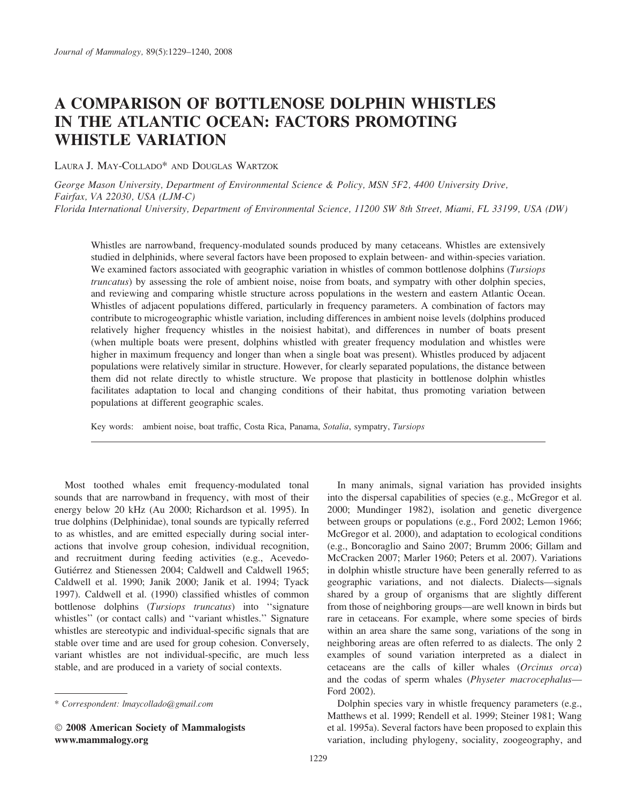# A COMPARISON OF BOTTLENOSE DOLPHIN WHISTLES IN THE ATLANTIC OCEAN: FACTORS PROMOTING WHISTLE VARIATION

LAURA J. MAY-COLLADO\* AND DOUGLAS WARTZOK

George Mason University, Department of Environmental Science & Policy, MSN 5F2, 4400 University Drive, Fairfax, VA 22030, USA (LJM-C) Florida International University, Department of Environmental Science, 11200 SW 8th Street, Miami, FL 33199, USA (DW)

Whistles are narrowband, frequency-modulated sounds produced by many cetaceans. Whistles are extensively studied in delphinids, where several factors have been proposed to explain between- and within-species variation. We examined factors associated with geographic variation in whistles of common bottlenose dolphins (Tursiops truncatus) by assessing the role of ambient noise, noise from boats, and sympatry with other dolphin species, and reviewing and comparing whistle structure across populations in the western and eastern Atlantic Ocean. Whistles of adjacent populations differed, particularly in frequency parameters. A combination of factors may contribute to microgeographic whistle variation, including differences in ambient noise levels (dolphins produced relatively higher frequency whistles in the noisiest habitat), and differences in number of boats present (when multiple boats were present, dolphins whistled with greater frequency modulation and whistles were higher in maximum frequency and longer than when a single boat was present). Whistles produced by adjacent populations were relatively similar in structure. However, for clearly separated populations, the distance between them did not relate directly to whistle structure. We propose that plasticity in bottlenose dolphin whistles facilitates adaptation to local and changing conditions of their habitat, thus promoting variation between populations at different geographic scales.

Key words: ambient noise, boat traffic, Costa Rica, Panama, Sotalia, sympatry, Tursiops

Most toothed whales emit frequency-modulated tonal sounds that are narrowband in frequency, with most of their energy below 20 kHz (Au 2000; Richardson et al. 1995). In true dolphins (Delphinidae), tonal sounds are typically referred to as whistles, and are emitted especially during social interactions that involve group cohesion, individual recognition, and recruitment during feeding activities (e.g., Acevedo-Gutiérrez and Stienessen 2004; Caldwell and Caldwell 1965; Caldwell et al. 1990; Janik 2000; Janik et al. 1994; Tyack 1997). Caldwell et al. (1990) classified whistles of common bottlenose dolphins (Tursiops truncatus) into ''signature whistles'' (or contact calls) and ''variant whistles.'' Signature whistles are stereotypic and individual-specific signals that are stable over time and are used for group cohesion. Conversely, variant whistles are not individual-specific, are much less stable, and are produced in a variety of social contexts.

In many animals, signal variation has provided insights into the dispersal capabilities of species (e.g., McGregor et al. 2000; Mundinger 1982), isolation and genetic divergence between groups or populations (e.g., Ford 2002; Lemon 1966; McGregor et al. 2000), and adaptation to ecological conditions (e.g., Boncoraglio and Saino 2007; Brumm 2006; Gillam and McCracken 2007; Marler 1960; Peters et al. 2007). Variations in dolphin whistle structure have been generally referred to as geographic variations, and not dialects. Dialects—signals shared by a group of organisms that are slightly different from those of neighboring groups—are well known in birds but rare in cetaceans. For example, where some species of birds within an area share the same song, variations of the song in neighboring areas are often referred to as dialects. The only 2 examples of sound variation interpreted as a dialect in cetaceans are the calls of killer whales (Orcinus orca) and the codas of sperm whales (Physeter macrocephalus-Ford 2002).

Dolphin species vary in whistle frequency parameters (e.g., Matthews et al. 1999; Rendell et al. 1999; Steiner 1981; Wang et al. 1995a). Several factors have been proposed to explain this variation, including phylogeny, sociality, zoogeography, and

<sup>\*</sup> Correspondent: lmaycollado@gmail.com

<sup>-</sup> 2008 American Society of Mammalogists www.mammalogy.org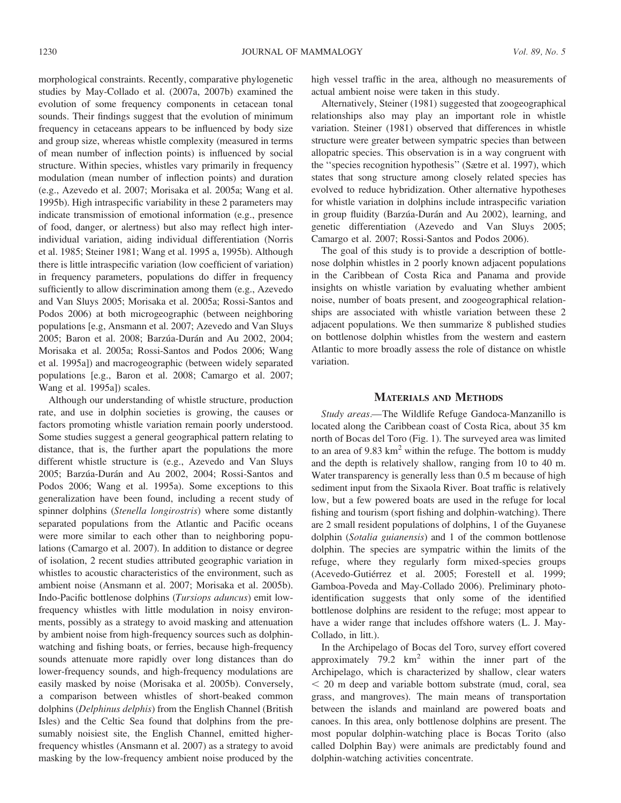morphological constraints. Recently, comparative phylogenetic studies by May-Collado et al. (2007a, 2007b) examined the evolution of some frequency components in cetacean tonal sounds. Their findings suggest that the evolution of minimum frequency in cetaceans appears to be influenced by body size and group size, whereas whistle complexity (measured in terms of mean number of inflection points) is influenced by social structure. Within species, whistles vary primarily in frequency modulation (mean number of inflection points) and duration (e.g., Azevedo et al. 2007; Morisaka et al. 2005a; Wang et al. 1995b). High intraspecific variability in these 2 parameters may indicate transmission of emotional information (e.g., presence of food, danger, or alertness) but also may reflect high interindividual variation, aiding individual differentiation (Norris et al. 1985; Steiner 1981; Wang et al. 1995 a, 1995b). Although there is little intraspecific variation (low coefficient of variation) in frequency parameters, populations do differ in frequency sufficiently to allow discrimination among them (e.g., Azevedo and Van Sluys 2005; Morisaka et al. 2005a; Rossi-Santos and Podos 2006) at both microgeographic (between neighboring populations [e.g, Ansmann et al. 2007; Azevedo and Van Sluys 2005; Baron et al. 2008; Barzúa-Durán and Au 2002, 2004; Morisaka et al. 2005a; Rossi-Santos and Podos 2006; Wang et al. 1995a]) and macrogeographic (between widely separated populations [e.g., Baron et al. 2008; Camargo et al. 2007; Wang et al. 1995a]) scales.

Although our understanding of whistle structure, production rate, and use in dolphin societies is growing, the causes or factors promoting whistle variation remain poorly understood. Some studies suggest a general geographical pattern relating to distance, that is, the further apart the populations the more different whistle structure is (e.g., Azevedo and Van Sluys 2005; Barzúa-Durán and Au 2002, 2004; Rossi-Santos and Podos 2006; Wang et al. 1995a). Some exceptions to this generalization have been found, including a recent study of spinner dolphins (Stenella longirostris) where some distantly separated populations from the Atlantic and Pacific oceans were more similar to each other than to neighboring populations (Camargo et al. 2007). In addition to distance or degree of isolation, 2 recent studies attributed geographic variation in whistles to acoustic characteristics of the environment, such as ambient noise (Ansmann et al. 2007; Morisaka et al. 2005b). Indo-Pacific bottlenose dolphins (Tursiops aduncus) emit lowfrequency whistles with little modulation in noisy environments, possibly as a strategy to avoid masking and attenuation by ambient noise from high-frequency sources such as dolphinwatching and fishing boats, or ferries, because high-frequency sounds attenuate more rapidly over long distances than do lower-frequency sounds, and high-frequency modulations are easily masked by noise (Morisaka et al. 2005b). Conversely, a comparison between whistles of short-beaked common dolphins (Delphinus delphis) from the English Channel (British Isles) and the Celtic Sea found that dolphins from the presumably noisiest site, the English Channel, emitted higherfrequency whistles (Ansmann et al. 2007) as a strategy to avoid masking by the low-frequency ambient noise produced by the

high vessel traffic in the area, although no measurements of actual ambient noise were taken in this study.

Alternatively, Steiner (1981) suggested that zoogeographical relationships also may play an important role in whistle variation. Steiner (1981) observed that differences in whistle structure were greater between sympatric species than between allopatric species. This observation is in a way congruent with the ''species recognition hypothesis'' (Sætre et al. 1997), which states that song structure among closely related species has evolved to reduce hybridization. Other alternative hypotheses for whistle variation in dolphins include intraspecific variation in group fluidity (Barzúa-Durán and Au 2002), learning, and genetic differentiation (Azevedo and Van Sluys 2005; Camargo et al. 2007; Rossi-Santos and Podos 2006).

The goal of this study is to provide a description of bottlenose dolphin whistles in 2 poorly known adjacent populations in the Caribbean of Costa Rica and Panama and provide insights on whistle variation by evaluating whether ambient noise, number of boats present, and zoogeographical relationships are associated with whistle variation between these 2 adjacent populations. We then summarize 8 published studies on bottlenose dolphin whistles from the western and eastern Atlantic to more broadly assess the role of distance on whistle variation.

# MATERIALS AND METHODS

Study areas.—The Wildlife Refuge Gandoca-Manzanillo is located along the Caribbean coast of Costa Rica, about 35 km north of Bocas del Toro (Fig. 1). The surveyed area was limited to an area of 9.83  $km^2$  within the refuge. The bottom is muddy and the depth is relatively shallow, ranging from 10 to 40 m. Water transparency is generally less than 0.5 m because of high sediment input from the Sixaola River. Boat traffic is relatively low, but a few powered boats are used in the refuge for local fishing and tourism (sport fishing and dolphin-watching). There are 2 small resident populations of dolphins, 1 of the Guyanese dolphin (Sotalia guianensis) and 1 of the common bottlenose dolphin. The species are sympatric within the limits of the refuge, where they regularly form mixed-species groups (Acevedo-Gutiérrez et al. 2005; Forestell et al. 1999; Gamboa-Poveda and May-Collado 2006). Preliminary photoidentification suggests that only some of the identified bottlenose dolphins are resident to the refuge; most appear to have a wider range that includes offshore waters (L. J. May-Collado, in litt.).

In the Archipelago of Bocas del Toro, survey effort covered approximately  $79.2 \text{ km}^2$  within the inner part of the Archipelago, which is characterized by shallow, clear waters , 20 m deep and variable bottom substrate (mud, coral, sea grass, and mangroves). The main means of transportation between the islands and mainland are powered boats and canoes. In this area, only bottlenose dolphins are present. The most popular dolphin-watching place is Bocas Torito (also called Dolphin Bay) were animals are predictably found and dolphin-watching activities concentrate.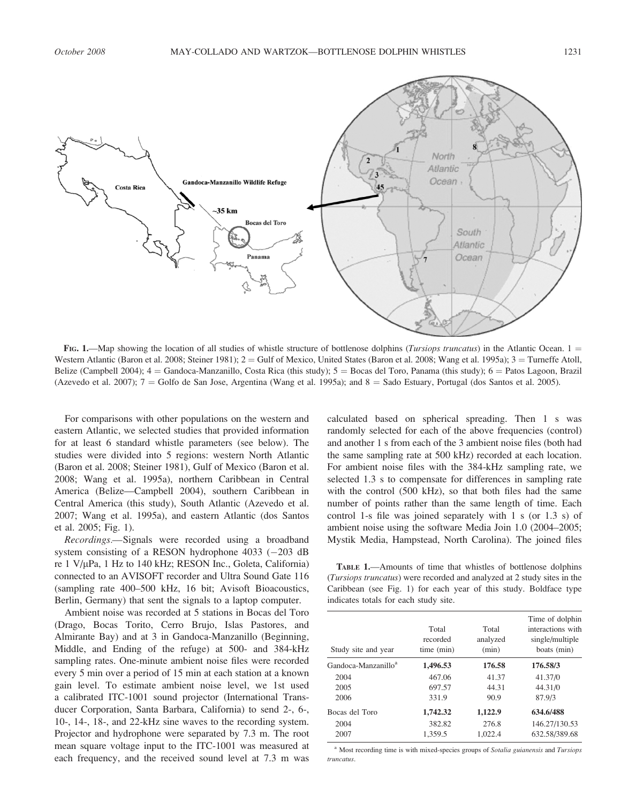

FIG. 1.—Map showing the location of all studies of whistle structure of bottlenose dolphins (Tursiops truncatus) in the Atlantic Ocean.  $1 =$ Western Atlantic (Baron et al. 2008; Steiner 1981);  $2 =$  Gulf of Mexico, United States (Baron et al. 2008; Wang et al. 1995a);  $3 =$  Turneffe Atoll, Belize (Campbell 2004);  $4 =$  Gandoca-Manzanillo, Costa Rica (this study);  $5 =$  Bocas del Toro, Panama (this study);  $6 =$  Patos Lagoon, Brazil (Azevedo et al. 2007);  $7 =$  Golfo de San Jose, Argentina (Wang et al. 1995a); and  $8 =$  Sado Estuary, Portugal (dos Santos et al. 2005).

For comparisons with other populations on the western and eastern Atlantic, we selected studies that provided information for at least 6 standard whistle parameters (see below). The studies were divided into 5 regions: western North Atlantic (Baron et al. 2008; Steiner 1981), Gulf of Mexico (Baron et al. 2008; Wang et al. 1995a), northern Caribbean in Central America (Belize—Campbell 2004), southern Caribbean in Central America (this study), South Atlantic (Azevedo et al. 2007; Wang et al. 1995a), and eastern Atlantic (dos Santos et al. 2005; Fig. 1).

Recordings.—Signals were recorded using a broadband system consisting of a RESON hydrophone  $4033$  ( $-203$  dB re 1 V/μPa, 1 Hz to 140 kHz; RESON Inc., Goleta, California) connected to an AVISOFT recorder and Ultra Sound Gate 116 (sampling rate 400–500 kHz, 16 bit; Avisoft Bioacoustics, Berlin, Germany) that sent the signals to a laptop computer.

Ambient noise was recorded at 5 stations in Bocas del Toro (Drago, Bocas Torito, Cerro Brujo, Islas Pastores, and Almirante Bay) and at 3 in Gandoca-Manzanillo (Beginning, Middle, and Ending of the refuge) at 500- and 384-kHz sampling rates. One-minute ambient noise files were recorded every 5 min over a period of 15 min at each station at a known gain level. To estimate ambient noise level, we 1st used a calibrated ITC-1001 sound projector (International Transducer Corporation, Santa Barbara, California) to send 2-, 6-, 10-, 14-, 18-, and 22-kHz sine waves to the recording system. Projector and hydrophone were separated by 7.3 m. The root mean square voltage input to the ITC-1001 was measured at each frequency, and the received sound level at 7.3 m was calculated based on spherical spreading. Then 1 s was randomly selected for each of the above frequencies (control) and another 1 s from each of the 3 ambient noise files (both had the same sampling rate at 500 kHz) recorded at each location. For ambient noise files with the 384-kHz sampling rate, we selected 1.3 s to compensate for differences in sampling rate with the control (500 kHz), so that both files had the same number of points rather than the same length of time. Each control 1-s file was joined separately with 1 s (or 1.3 s) of ambient noise using the software Media Join 1.0 (2004–2005; Mystik Media, Hampstead, North Carolina). The joined files

TABLE 1.—Amounts of time that whistles of bottlenose dolphins (Tursiops truncatus) were recorded and analyzed at 2 study sites in the Caribbean (see Fig. 1) for each year of this study. Boldface type indicates totals for each study site.

| Total<br>recorded<br>time (min) | Total<br>analyzed<br>(min) | Time of dolphin<br>interactions with<br>single/multiple<br>boats (min) |
|---------------------------------|----------------------------|------------------------------------------------------------------------|
| 1,496.53                        | 176.58                     | 176.58/3                                                               |
| 467.06                          | 41.37                      | 41.37/0                                                                |
| 697.57                          | 44.31                      | 44.31/0                                                                |
| 331.9                           | 90.9                       | 87.9/3                                                                 |
| 1,742.32                        | 1,122.9                    | 634.6/488                                                              |
| 382.82                          | 276.8                      | 146.27/130.53<br>632.58/389.68                                         |
|                                 | 1.359.5                    | 1.022.4                                                                |

<sup>a</sup> Most recording time is with mixed-species groups of Sotalia guianensis and Tursiops truncatus.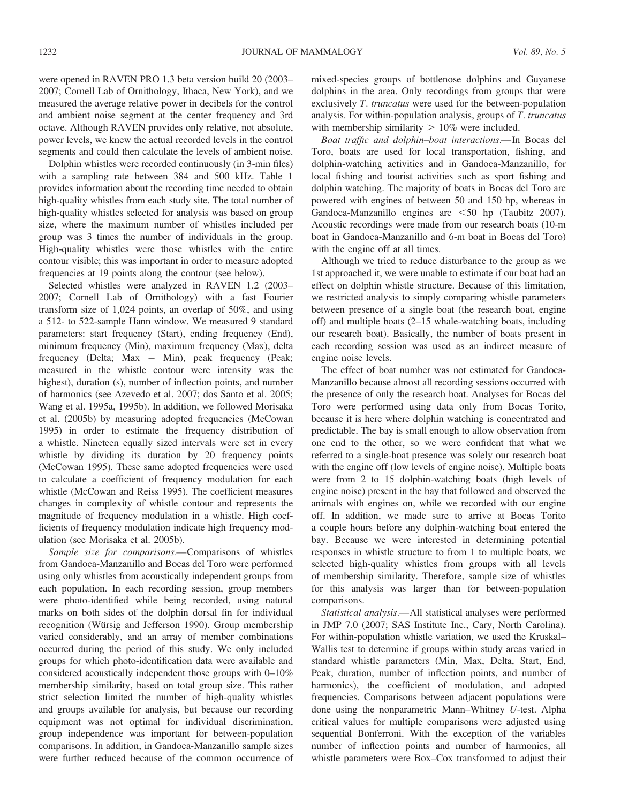were opened in RAVEN PRO 1.3 beta version build 20 (2003– 2007; Cornell Lab of Ornithology, Ithaca, New York), and we measured the average relative power in decibels for the control and ambient noise segment at the center frequency and 3rd octave. Although RAVEN provides only relative, not absolute, power levels, we knew the actual recorded levels in the control segments and could then calculate the levels of ambient noise.

Dolphin whistles were recorded continuously (in 3-min files) with a sampling rate between 384 and 500 kHz. Table 1 provides information about the recording time needed to obtain high-quality whistles from each study site. The total number of high-quality whistles selected for analysis was based on group size, where the maximum number of whistles included per group was 3 times the number of individuals in the group. High-quality whistles were those whistles with the entire contour visible; this was important in order to measure adopted frequencies at 19 points along the contour (see below).

Selected whistles were analyzed in RAVEN 1.2 (2003– 2007; Cornell Lab of Ornithology) with a fast Fourier transform size of 1,024 points, an overlap of 50%, and using a 512- to 522-sample Hann window. We measured 9 standard parameters: start frequency (Start), ending frequency (End), minimum frequency (Min), maximum frequency (Max), delta frequency (Delta; Max – Min), peak frequency (Peak; measured in the whistle contour were intensity was the highest), duration (s), number of inflection points, and number of harmonics (see Azevedo et al. 2007; dos Santo et al. 2005; Wang et al. 1995a, 1995b). In addition, we followed Morisaka et al. (2005b) by measuring adopted frequencies (McCowan 1995) in order to estimate the frequency distribution of a whistle. Nineteen equally sized intervals were set in every whistle by dividing its duration by 20 frequency points (McCowan 1995). These same adopted frequencies were used to calculate a coefficient of frequency modulation for each whistle (McCowan and Reiss 1995). The coefficient measures changes in complexity of whistle contour and represents the magnitude of frequency modulation in a whistle. High coefficients of frequency modulation indicate high frequency modulation (see Morisaka et al. 2005b).

Sample size for comparisons.—Comparisons of whistles from Gandoca-Manzanillo and Bocas del Toro were performed using only whistles from acoustically independent groups from each population. In each recording session, group members were photo-identified while being recorded, using natural marks on both sides of the dolphin dorsal fin for individual recognition (Würsig and Jefferson 1990). Group membership varied considerably, and an array of member combinations occurred during the period of this study. We only included groups for which photo-identification data were available and considered acoustically independent those groups with 0–10% membership similarity, based on total group size. This rather strict selection limited the number of high-quality whistles and groups available for analysis, but because our recording equipment was not optimal for individual discrimination, group independence was important for between-population comparisons. In addition, in Gandoca-Manzanillo sample sizes were further reduced because of the common occurrence of mixed-species groups of bottlenose dolphins and Guyanese dolphins in the area. Only recordings from groups that were exclusively T. truncatus were used for the between-population analysis. For within-population analysis, groups of T. truncatus with membership similarity  $> 10\%$  were included.

Boat traffic and dolphin–boat interactions.—In Bocas del Toro, boats are used for local transportation, fishing, and dolphin-watching activities and in Gandoca-Manzanillo, for local fishing and tourist activities such as sport fishing and dolphin watching. The majority of boats in Bocas del Toro are powered with engines of between 50 and 150 hp, whereas in Gandoca-Manzanillo engines are  $\leq 50$  hp (Taubitz 2007). Acoustic recordings were made from our research boats (10-m boat in Gandoca-Manzanillo and 6-m boat in Bocas del Toro) with the engine off at all times.

Although we tried to reduce disturbance to the group as we 1st approached it, we were unable to estimate if our boat had an effect on dolphin whistle structure. Because of this limitation, we restricted analysis to simply comparing whistle parameters between presence of a single boat (the research boat, engine off) and multiple boats (2–15 whale-watching boats, including our research boat). Basically, the number of boats present in each recording session was used as an indirect measure of engine noise levels.

The effect of boat number was not estimated for Gandoca-Manzanillo because almost all recording sessions occurred with the presence of only the research boat. Analyses for Bocas del Toro were performed using data only from Bocas Torito, because it is here where dolphin watching is concentrated and predictable. The bay is small enough to allow observation from one end to the other, so we were confident that what we referred to a single-boat presence was solely our research boat with the engine off (low levels of engine noise). Multiple boats were from 2 to 15 dolphin-watching boats (high levels of engine noise) present in the bay that followed and observed the animals with engines on, while we recorded with our engine off. In addition, we made sure to arrive at Bocas Torito a couple hours before any dolphin-watching boat entered the bay. Because we were interested in determining potential responses in whistle structure to from 1 to multiple boats, we selected high-quality whistles from groups with all levels of membership similarity. Therefore, sample size of whistles for this analysis was larger than for between-population comparisons.

Statistical analysis.—All statistical analyses were performed in JMP 7.0 (2007; SAS Institute Inc., Cary, North Carolina). For within-population whistle variation, we used the Kruskal– Wallis test to determine if groups within study areas varied in standard whistle parameters (Min, Max, Delta, Start, End, Peak, duration, number of inflection points, and number of harmonics), the coefficient of modulation, and adopted frequencies. Comparisons between adjacent populations were done using the nonparametric Mann–Whitney U-test. Alpha critical values for multiple comparisons were adjusted using sequential Bonferroni. With the exception of the variables number of inflection points and number of harmonics, all whistle parameters were Box–Cox transformed to adjust their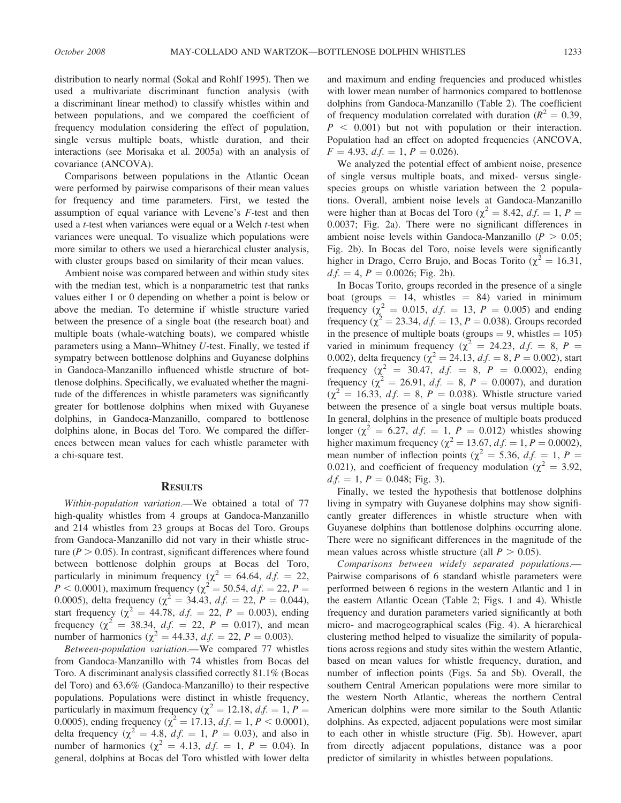distribution to nearly normal (Sokal and Rohlf 1995). Then we used a multivariate discriminant function analysis (with a discriminant linear method) to classify whistles within and between populations, and we compared the coefficient of frequency modulation considering the effect of population, single versus multiple boats, whistle duration, and their interactions (see Morisaka et al. 2005a) with an analysis of covariance (ANCOVA).

Comparisons between populations in the Atlantic Ocean were performed by pairwise comparisons of their mean values for frequency and time parameters. First, we tested the assumption of equal variance with Levene's  $F$ -test and then used a *t*-test when variances were equal or a Welch *t*-test when variances were unequal. To visualize which populations were more similar to others we used a hierarchical cluster analysis, with cluster groups based on similarity of their mean values.

Ambient noise was compared between and within study sites with the median test, which is a nonparametric test that ranks values either 1 or 0 depending on whether a point is below or above the median. To determine if whistle structure varied between the presence of a single boat (the research boat) and multiple boats (whale-watching boats), we compared whistle parameters using a Mann–Whitney U-test. Finally, we tested if sympatry between bottlenose dolphins and Guyanese dolphins in Gandoca-Manzanillo influenced whistle structure of bottlenose dolphins. Specifically, we evaluated whether the magnitude of the differences in whistle parameters was significantly greater for bottlenose dolphins when mixed with Guyanese dolphins, in Gandoca-Manzanillo, compared to bottlenose dolphins alone, in Bocas del Toro. We compared the differences between mean values for each whistle parameter with a chi-square test.

#### **RESULTS**

Within-population variation.—We obtained a total of 77 high-quality whistles from 4 groups at Gandoca-Manzanillo and 214 whistles from 23 groups at Bocas del Toro. Groups from Gandoca-Manzanillo did not vary in their whistle structure ( $P > 0.05$ ). In contrast, significant differences where found between bottlenose dolphin groups at Bocas del Toro, particularly in minimum frequency ( $\chi^2$  = 64.64, d.f. = 22,  $P < 0.0001$ ), maximum frequency ( $\chi^2 = 50.54$ ,  $df = 22$ ,  $P =$ 0.0005), delta frequency ( $\chi^2 = 34.43$ ,  $d.f. = 22$ ,  $P = 0.044$ ), start frequency ( $\chi^2 = 44.78$ ,  $df. = 22$ ,  $P = 0.003$ ), ending frequency ( $\chi^2$  = 38.34, d.f. = 22, P = 0.017), and mean number of harmonics ( $\chi^2 = 44.33$ ,  $df = 22$ ,  $P = 0.003$ ).

Between-population variation.—We compared 77 whistles from Gandoca-Manzanillo with 74 whistles from Bocas del Toro. A discriminant analysis classified correctly 81.1% (Bocas del Toro) and 63.6% (Gandoca-Manzanillo) to their respective populations. Populations were distinct in whistle frequency, particularly in maximum frequency ( $\chi^2 = 12.18$ ,  $df = 1$ ,  $P =$ 0.0005), ending frequency ( $\chi^2 = 17.13$ ,  $df = 1, P < 0.0001$ ), delta frequency  $(\chi^2 = 4.8, df. = 1, P = 0.03)$ , and also in number of harmonics ( $\chi^2 = 4.13$ ,  $df = 1$ ,  $P = 0.04$ ). In general, dolphins at Bocas del Toro whistled with lower delta

and maximum and ending frequencies and produced whistles with lower mean number of harmonics compared to bottlenose dolphins from Gandoca-Manzanillo (Table 2). The coefficient of frequency modulation correlated with duration ( $R^2 = 0.39$ ,  $P < 0.001$ ) but not with population or their interaction. Population had an effect on adopted frequencies (ANCOVA,  $F = 4.93$ ,  $df = 1$ ,  $P = 0.026$ ).

We analyzed the potential effect of ambient noise, presence of single versus multiple boats, and mixed- versus singlespecies groups on whistle variation between the 2 populations. Overall, ambient noise levels at Gandoca-Manzanillo were higher than at Bocas del Toro ( $\chi^2 = 8.42$ , d.f. = 1, P = 0.0037; Fig. 2a). There were no significant differences in ambient noise levels within Gandoca-Manzanillo ( $P > 0.05$ ; Fig. 2b). In Bocas del Toro, noise levels were significantly higher in Drago, Cerro Brujo, and Bocas Torito ( $\chi^2 = 16.31$ ,  $df. = 4, P = 0.0026$ ; Fig. 2b).

In Bocas Torito, groups recorded in the presence of a single boat (groups  $= 14$ , whistles  $= 84$ ) varied in minimum frequency  $(\chi^2 = 0.015, df. = 13, P = 0.005)$  and ending frequency ( $\chi^2 = 23.34$ ,  $df = 13$ ,  $P = 0.038$ ). Groups recorded in the presence of multiple boats (groups  $= 9$ , whistles  $= 105$ ) varied in minimum frequency ( $\chi^2$  = 24.23, d.f. = 8, P = 0.002), delta frequency ( $\chi^2 = 24.13$ ,  $df = 8$ ,  $P = 0.002$ ), start frequency  $(\chi^2 = 30.47, df. = 8, P = 0.0002)$ , ending frequency ( $\chi^2 = 26.91$ ,  $df = 8$ ,  $P = 0.0007$ ), and duration  $(\chi^2 = 16.33, d.f. = 8, P = 0.038)$ . Whistle structure varied between the presence of a single boat versus multiple boats. In general, dolphins in the presence of multiple boats produced longer ( $\chi^2$  = 6.27, d.f. = 1, P = 0.012) whistles showing higher maximum frequency ( $\chi^2 = 13.67$ ,  $df = 1$ ,  $P = 0.0002$ ), mean number of inflection points ( $\chi^2$  = 5.36, d.f. = 1, P = 0.021), and coefficient of frequency modulation ( $\chi^2 = 3.92$ ,  $d.f. = 1, P = 0.048;$  Fig. 3).

Finally, we tested the hypothesis that bottlenose dolphins living in sympatry with Guyanese dolphins may show significantly greater differences in whistle structure when with Guyanese dolphins than bottlenose dolphins occurring alone. There were no significant differences in the magnitude of the mean values across whistle structure (all  $P > 0.05$ ).

Comparisons between widely separated populations.— Pairwise comparisons of 6 standard whistle parameters were performed between 6 regions in the western Atlantic and 1 in the eastern Atlantic Ocean (Table 2; Figs. 1 and 4). Whistle frequency and duration parameters varied significantly at both micro- and macrogeographical scales (Fig. 4). A hierarchical clustering method helped to visualize the similarity of populations across regions and study sites within the western Atlantic, based on mean values for whistle frequency, duration, and number of inflection points (Figs. 5a and 5b). Overall, the southern Central American populations were more similar to the western North Atlantic, whereas the northern Central American dolphins were more similar to the South Atlantic dolphins. As expected, adjacent populations were most similar to each other in whistle structure (Fig. 5b). However, apart from directly adjacent populations, distance was a poor predictor of similarity in whistles between populations.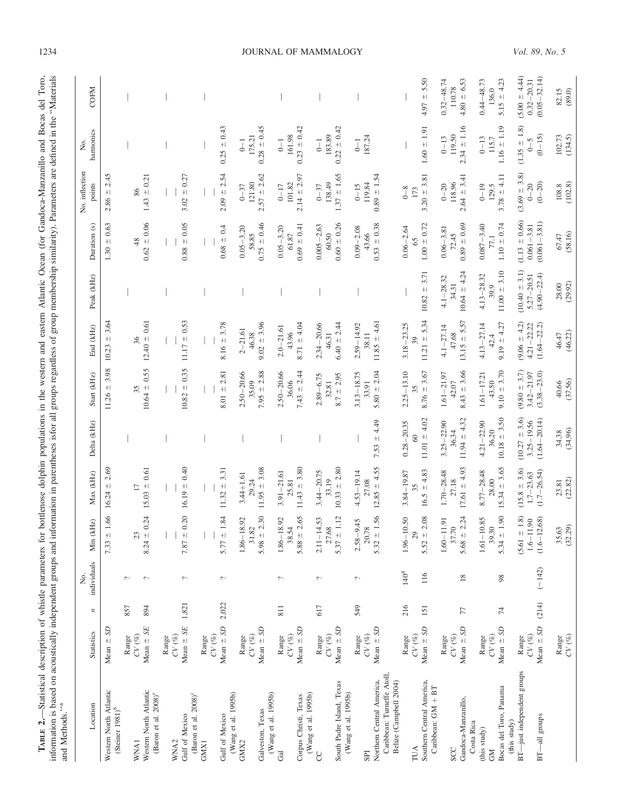| $\ddotsc$                      |                                                                                                                                      |                                                      |
|--------------------------------|--------------------------------------------------------------------------------------------------------------------------------------|------------------------------------------------------|
|                                | ters are defined in the "Materials                                                                                                   |                                                      |
| " and Bocas                    |                                                                                                                                      |                                                      |
|                                |                                                                                                                                      |                                                      |
|                                |                                                                                                                                      |                                                      |
|                                |                                                                                                                                      |                                                      |
| $M$ osarasai                   |                                                                                                                                      |                                                      |
|                                |                                                                                                                                      |                                                      |
|                                | ļ                                                                                                                                    |                                                      |
| Ic Ocean (for Gand             | sorchin similarity) 1                                                                                                                |                                                      |
|                                |                                                                                                                                      |                                                      |
|                                |                                                                                                                                      |                                                      |
| $+ 10 + 14$                    |                                                                                                                                      |                                                      |
|                                |                                                                                                                                      |                                                      |
|                                | $+$ $\frac{1}{2}$ $\frac{1}{2}$ $\frac{1}{2}$ $\frac{1}{2}$ $\frac{1}{2}$ $\frac{1}{2}$ $\frac{1}{2}$ $\frac{1}{2}$<br>$\frac{1}{2}$ |                                                      |
|                                |                                                                                                                                      |                                                      |
|                                | $\sim$                                                                                                                               |                                                      |
|                                |                                                                                                                                      |                                                      |
| s in the western and eastern A | $-20.4$ $\pm 1.0$                                                                                                                    |                                                      |
|                                |                                                                                                                                      |                                                      |
| alman nomulation               | こうこうしょう                                                                                                                              |                                                      |
|                                |                                                                                                                                      |                                                      |
|                                |                                                                                                                                      |                                                      |
| ໌                              |                                                                                                                                      |                                                      |
| $+1 - 1$                       | romaation in n                                                                                                                       |                                                      |
| i                              |                                                                                                                                      |                                                      |
| $+0+0+0+$<br>;                 | ŗ<br>ໍ່                                                                                                                              |                                                      |
|                                |                                                                                                                                      |                                                      |
| í                              | )                                                                                                                                    |                                                      |
|                                | i                                                                                                                                    |                                                      |
|                                |                                                                                                                                      |                                                      |
|                                | $\frac{1}{2}$                                                                                                                        |                                                      |
| í                              | :                                                                                                                                    |                                                      |
|                                |                                                                                                                                      |                                                      |
|                                | - control to the second control is a second to the second to the second second to the second second the second second that $\sim$    |                                                      |
|                                |                                                                                                                                      | ,, a                                                 |
|                                |                                                                                                                                      | ֖ׅׅ֧ׅ֧֚֚֚֚֚֚֚֚֚֚֚֚֚֚֚֚֚֚֚֚֚֚֚֚֚֚֚֡֝֡֡֡֝֬֝֬<br>j<br>I |
| ì                              |                                                                                                                                      |                                                      |
| E                              | ļ                                                                                                                                    |                                                      |

| and Methods." <sup>a</sup>                                                        |                                                                          |                  |                         |                                               |                                    |                   |                         |                        |                   |                        |                          |                          |                   |
|-----------------------------------------------------------------------------------|--------------------------------------------------------------------------|------------------|-------------------------|-----------------------------------------------|------------------------------------|-------------------|-------------------------|------------------------|-------------------|------------------------|--------------------------|--------------------------|-------------------|
| Location                                                                          | Statistics                                                               | $\boldsymbol{n}$ | individuals<br>,<br>Ž   | Min (kHz)                                     | Max (kHz)                          | Delta (kHz)       | Start (kHz)             | End (kHz)              | Peak (kHz)        | Duration (s)           | No. inflection<br>points | harmonics<br>Σò,         | <b>COFM</b>       |
| Western North Atlantic<br>(Steiner $1981$ ) <sup>b</sup>                          | Mean $\pm SD$                                                            |                  |                         | $7.33 \pm 1.66$                               | $16.24 \pm 2.69$                   |                   | $11.26 \pm 3.98$        | $10.23 \pm 3.64$       |                   | $1.30 \pm 0.63$        | $2.86 \pm 2.45$          |                          |                   |
|                                                                                   | Range                                                                    | 857              | $\sim$                  |                                               |                                    |                   |                         |                        |                   |                        |                          |                          |                   |
| Western North Atlantic<br>WNA1                                                    | Mean $\pm$ SE<br>$CV\left(\mathcal{V}_{\!\scriptscriptstyle\ell}\right)$ | 894              | $\sim$                  | 24<br>$\frac{1}{2}$<br>23<br>8.24             | $15.03 \pm 0.61$<br>$\overline{1}$ |                   | $10.64 \pm 0.55$<br>35  | $12.40 \pm 0.61$<br>36 |                   | $0.62 = 0.06$<br>48    | $1.43 \pm 0.21$<br>86    |                          |                   |
| $(Baron$ et al. $2008)^\mathrm{c}$                                                |                                                                          |                  |                         |                                               |                                    |                   |                         |                        |                   |                        |                          |                          |                   |
| WNA <sub>2</sub>                                                                  | CV(%)<br>Range                                                           |                  |                         |                                               |                                    |                   |                         |                        |                   |                        |                          |                          |                   |
| Gulf of Mexico                                                                    | Mean $\pm$ SE                                                            | 1,821            | $\mathord{\sim}$        | $\overline{20}$<br>$rac{1}{\sqrt{1}}$<br>7.87 | $16.19 \pm 0.40$                   |                   | 0.35<br>$+$<br>10.82    | 0.53<br>$11.17 \pm$    |                   | $\pm 0.05$<br>0.88     | ± 0.27<br>3.02           |                          |                   |
| (Baron et al. 2008) <sup>c</sup><br><b>GMX1</b>                                   | Range                                                                    |                  |                         |                                               |                                    |                   |                         |                        |                   |                        |                          |                          |                   |
|                                                                                   | $CV\left(\mathcal{V}\right)$                                             |                  |                         |                                               |                                    |                   |                         |                        |                   |                        |                          |                          |                   |
| Gulf of Mexico                                                                    | Mean $\pm SD$                                                            | 2,022            | $\sim$                  | 84<br>$5.77 \pm 1.$                           | $11.32 \pm 3.31$                   |                   | $8.01 \pm 2.81$         | $8.16 \pm 3.78$        |                   | $0.68 \pm 0.4$         | $2.09 \pm 2.54$          | $0.25 = 0.43$            |                   |
| (Wang et al. 1995b)<br>GMX2                                                       | Range                                                                    |                  |                         | $1.86 - 18.92$                                | $3.44 + 1.61$                      |                   | $2.50 - 20.66$          | $2 - 21.61$            |                   | $0.05 - 3.20$          | $0 - 37$                 | $0 - 1$                  |                   |
|                                                                                   | $CV\left(\mathcal{V}\right)$                                             |                  |                         | 31.82                                         | 29.24                              |                   | 35.09                   | 46.38                  |                   | 58.85                  | 121.80                   | 175.21                   |                   |
| Galveston, Texas                                                                  | Mean $\pm SD$                                                            |                  |                         | $30\,$<br>$5.98 \pm 2.$                       | $11.95 \pm 3.08$                   |                   | $7.95 \pm 2.88$         | $9.02 \pm 3.96$        |                   | $0.75 = 0.46$          | $2.57 \pm 2.62$          | $0.28 = 0.45$            |                   |
| (Wang et al. 1995b)                                                               |                                                                          |                  |                         |                                               |                                    |                   |                         |                        |                   |                        |                          |                          |                   |
| Gal                                                                               | $CV\left(\mathcal{V}\right)$<br>Range                                    | 811              | $\widehat{\phantom{a}}$ | $1.86 - 18.92$<br>38.54                       | $3.91 - 21.61$<br>25.81            |                   | $2.50 - 20.66$<br>36.06 | $2.0 - 21.61$<br>43.96 |                   | $0.05 - 3.20$<br>61.87 | 101.82<br>$0 - 17$       | 161.98<br>$\overline{0}$ |                   |
| Corpus Christi, Texas                                                             | Mean $\pm SD$                                                            |                  |                         | $5.88 \pm 2.65$                               | $11.43 \pm 3.80$                   |                   | $7.43 \pm 2.44$         | $8.71 \pm 4.04$        |                   | $0.69 \pm 0.41$        | $2.14 \pm 2.97$          | $0.23 \pm 0.42$          |                   |
| (Wang et al. 1995b)                                                               |                                                                          |                  |                         |                                               |                                    |                   |                         |                        |                   |                        |                          |                          |                   |
| g                                                                                 | Range                                                                    | 617              | $\sim$                  | $2.11 - 14.53$                                | $3.44 - 20.75$                     |                   | $2.89 - 6.75$           | $2.34 - 20.66$         |                   | $0.005 - 2.63$         | $0 - 37$                 | $\overline{0}$ -1        |                   |
|                                                                                   | $CV\left(\mathcal{V}_{\!\scriptscriptstyle\ell}\right)$                  |                  |                         | 27.68                                         | 33.19                              |                   | 32.81                   | 46.31                  |                   | 60.50                  | 138.49                   | 183.89                   |                   |
| South Padre Island, Texas<br>(Wang et al. 1995b)                                  | Mean $\pm SD$                                                            |                  |                         | $\overline{c}$<br>$5.37 \pm 1.$               | $10.33 + 2.80$                     |                   | $8.7 \pm 2.95$          | $6.40 = 2.44$          |                   | $0.60 \pm 0.26$        | $1.37 \pm 1.65$          | $0.22 \pm 0.42$          |                   |
|                                                                                   | Range                                                                    | 549              | $\sim$                  | $2.58 - 9.45$                                 | $4.53 - 19.14$                     |                   | $3.13 - 18.75$          | $2.59 - 14.92$         |                   | $0.09 - 2.08$          | $0 - 15$                 | $-1$                     |                   |
| SPI                                                                               | $CV\left(\mathcal{V}\right)$                                             |                  |                         | 20.78                                         | 27.08                              |                   | 33.91                   | 38.11                  |                   | 43.66                  | 119.84                   | 187.24                   |                   |
| Caribbean: Turneffe Atoll,<br>Northern Central America,<br>Belize (Campbell 2004) | Mean $\pm SD$                                                            |                  |                         | $5.32 \pm 1.56$                               | $12.85 \pm 4.55$                   | 7.53 $\pm$ 4.49   | $5.80 \pm 2.04$         | $11.85 \pm 4.61$       |                   | $0.53 \pm 0.38$        | $0.89 \pm 1.54$          |                          |                   |
|                                                                                   | Range                                                                    | 216              | $140^d$                 | $1.96 - 10.50$                                | $3.84 - 19.87$                     | $0.28 - 20.35$    | $2.25 - 13.10$          | $3.18 - 23.25$         |                   | $0.06 - 2.64$          | $0 - 8$                  |                          |                   |
| TUA                                                                               | CV(%)                                                                    |                  |                         | 29                                            | 35                                 | 60                | 35                      | 39                     |                   | 65                     | 173                      |                          |                   |
| Southern Central America,<br>Caribbean: GM + BT                                   | Mean $\pm SD$                                                            | 151              | 116                     | $5.52 \pm 2.08$                               | $16.5 \pm 4.83$                    | $11.01 \pm 4.02$  | $8.76 \pm 3.67$         | $11.21 + 5.34$         | $10.82 \pm 3.71$  | $1.00 \pm 0.72$        | $3.20 \pm 3.81$          | $1.60 \pm 1.91$          | $4.97 \pm 5.50$   |
|                                                                                   | Range                                                                    |                  |                         | $1.60 - 11.91$                                | $1.70 - 28.48$                     | $3.25 - 22.90$    | $1.61 - 21.97$          | $4.1 - 27.14$          | $4.1 - 28.32$     | $0.06 - 3.81$          | $0 - 20$                 | $0 - 13$                 | $0.32 - 48.74$    |
| <b>SCC</b>                                                                        | $CV\left(\mathcal{V}_{\theta}\right)$                                    |                  |                         | 37.70                                         | 27.18                              | 36.34             | 42.07                   | 47.68                  | 34.31             | 72.45                  | 118.96                   | 119.50                   | 110.78            |
| Gandoca-Manzanillo,<br>Costa Rica                                                 | Mean $\pm SD$                                                            | 77               | $^{18}$                 | $5.68 \pm 2.24$                               | $17.61 \pm 4.93$                   | $11.94 \pm 4.32$  | $8.43 = 3.66$           | $13.15 \pm 5.57$       | $10.64 \pm 4.24$  | $0.89 \pm 0.69$        | $2.64 \pm 3.41$          | $2.34 \pm 1.16$          | $4.80 \pm 6.53$   |
| (this study)                                                                      | Range                                                                    |                  |                         | $1.61 - 10.85$                                | 8.77-28.48                         | $4.21 - 22.90$    | $1.61 - 17.21$          | $4.13 - 27.14$         | $4.13 - 28.32$    | $0.087 - 3.40$         | $0 - 19$                 | $0 - 13$                 | $0.44 - 48.73$    |
| $\mathbb{R}$                                                                      | CV(%)                                                                    |                  |                         | 39.30                                         | 28.00                              | 36.20             | 43.50                   | 42.4                   | 39.9              | 77.1                   | 129.5                    | 115.7                    | 136.0             |
| Bocas del Toro, Panama                                                            | Mean $\pm SD$                                                            | $\overline{7}$   | 98                      | $5.34 \pm 1.90$                               | $15.34 \pm 3.65$                   | $10.18 \pm 3.50$  | $9.10 \pm 3.70$         | $9.19 \pm 4.27$        | $11.00 \pm 3.10$  | $1.10 \pm 0.74$        | $3.78 \pm 4.11$          | $1.16 \pm 1.19$          | 5.15 $\pm$ 4.23   |
| BT-just independent groups<br>(this study)                                        | Range                                                                    |                  |                         | 8<br>$(5.61 \pm 1)$                           | $(15.8 \pm 3.6)$                   | $(10.27 \pm 3.6)$ | $(9.80 \pm 3.7)$        | $(9.06 \pm 4.2)$       | $(10.40 \pm 3.1)$ | $(1.13 \pm 0.66)$      | $(3.69 \pm 3.8)$         | $(1.35 \pm 1.8)$         | $(5.00 \pm 4.44)$ |
|                                                                                   | $CV\left(\mathcal{V}\right)$                                             |                  |                         | $1.6 - 11.90$                                 | $1.7 - 23.63$                      | $3.25 - 19.56$    | $3.42 - 21.97$          | $4.21 - 22.22$         | $5.27 - 20.51$    | $0.061 - 3.81$         | $0 - 20$                 | $6 - 5$                  | $0.32 - 20.31$    |
| BT-all groups                                                                     | Mean $\pm SD$                                                            | (214)            | $(-142)$                | $(1.6 - 12.68)$                               | $(1.7 - 26.54)$                    | $(1.64 - 20.14)$  | $(3.38 - 23.0)$         | $(1.64 - 22.2)$        | $(4.90 - 22.4)$   | $(0.061 - 3.81)$       | $(0 - 20)$               | $(0 - 15)$               | $(0.05 - 32.14)$  |
|                                                                                   | $CV(\%)$<br>Range                                                        |                  |                         | (32.29)<br>35.63                              | (22.82)<br>23.81                   | (34.96)<br>34.38  | (37.56)<br>40.66        | (46.22)<br>46.47       | (29.92)<br>28.00  | (58.16)<br>67.47       | (102.8)<br>$108.8\,$     | (134.5)<br>102.73        | (89.0)<br>82.15   |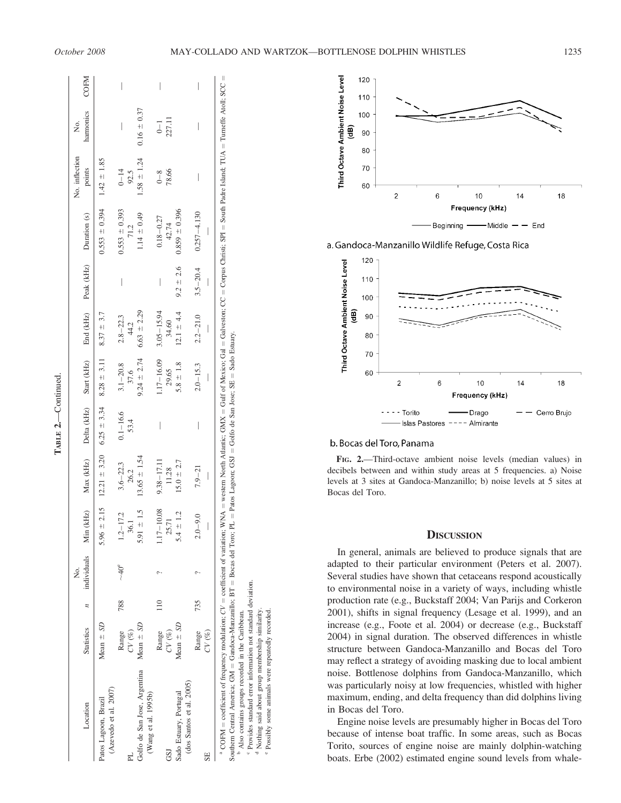| ontinuec   |  |
|------------|--|
|            |  |
|            |  |
|            |  |
| <b>BLE</b> |  |
|            |  |
|            |  |

| Location                                                                                                                                                                                                                               | Statistics    |     | 2<br>Z  |                         | individuals Min (kHz) Max (kHz) Delta (kHz) Start (kHz) End (kHz) Peak (kHz) Duration (s) |              |                 |                 |               |                                   | No. inflection  | $\frac{6}{5}$   | COFM |
|----------------------------------------------------------------------------------------------------------------------------------------------------------------------------------------------------------------------------------------|---------------|-----|---------|-------------------------|-------------------------------------------------------------------------------------------|--------------|-----------------|-----------------|---------------|-----------------------------------|-----------------|-----------------|------|
|                                                                                                                                                                                                                                        |               |     |         |                         |                                                                                           |              |                 |                 |               |                                   | points          | harmonics       |      |
| (Azevedo et al. 2007)<br>Patos Lagoon, Brazil                                                                                                                                                                                          | Mean $\pm SD$ |     |         |                         | $5.96 \pm 2.15$ $12.21 \pm 3.20$ $6.25 \pm 3.34$ $8.28 \pm 3.11$                          |              |                 | $8.37 \pm 3.7$  |               | $0.553 \pm 0.394$ 1.42 $\pm$ 1.85 |                 |                 |      |
|                                                                                                                                                                                                                                        | Range         | 788 | $-40^e$ | $1.2 - 17.2$            | $3.6 - 22.3$                                                                              | $0.1 - 16.6$ | $3.1 - 20.8$    | $2.8 - 22.3$    |               | $0.553 \pm 0.393$                 | $0 - 14$        |                 | I    |
| 黃                                                                                                                                                                                                                                      | CV(%)         |     |         | 36.1                    | 26.2                                                                                      | 53.4         | 37.6            | 44.2            |               | 71.2                              | 92.5            |                 |      |
| Golfo de San Jose, Argentina<br>(Wang et al. 1995b)                                                                                                                                                                                    | Mean $\pm SD$ |     |         | $\frac{5}{1}$<br>5.91 ± | $13.65 \pm 1.54$                                                                          |              | $9.24 \pm 2.74$ | $6.63 \pm 2.29$ |               | $1.14 \pm 0.49$                   | $1.58 \pm 1.24$ | $0.16 \pm 0.37$ |      |
|                                                                                                                                                                                                                                        | Range         | 110 |         | $1.17 - 10.08$          | $9.38 - 17.11$                                                                            |              | $1.17 - 16.09$  | $3.05 - 15.94$  |               | $0.18 - 0.27$                     | $0 - 8$         | $\overline{0}$  |      |
| GSJ                                                                                                                                                                                                                                    | $CV(\%)$      |     |         | 25.71                   | 11.28                                                                                     |              | 29.65           | 34.60           |               | 42.74                             | 78.66           | 227.11          |      |
| $(dos$ Santos et al. $2005$ )<br>Sado Estuary, Portugal                                                                                                                                                                                | Mean $\pm SD$ |     |         | $5.4 \pm$               | $15.0 \pm 2.7$                                                                            |              | $5.8 \pm 1.8$   | $12.1 \pm 4.4$  | $9.2 \pm 2.6$ | $0.859 \pm 0.396$                 |                 |                 |      |
|                                                                                                                                                                                                                                        | Range         | 735 |         | $2.0 - 9.0$             | $7.9 - 21$                                                                                |              | $2.0 - 15.3$    | $2.2 - 21.0$    |               | $3.5 - 20.4$ 0.257 - 4.130        |                 |                 |      |
| SE                                                                                                                                                                                                                                     | CV(%)         |     |         | l                       | I                                                                                         |              | I               | I               | l             | I                                 |                 |                 |      |
| <sup>3</sup> COFM = coefficient of frequency modulation; CV = coefficient of variation; WMA = western North Atlantic; GMX = Gulf of Mexico; Gal = Galveston; CC = Corpus Christi; SPI = South Padre Island; TUA = Turnefite Atoll; SCC |               |     |         |                         |                                                                                           |              |                 |                 |               |                                   |                 |                 |      |

Southern Central America; GM

Also contains groups recorded in the Caribbean.

Also contains groups recorded in the Caribbean.

Provides standard error information not standard deviation.

Provides standard error information not standard deviation. about group membership similarity.

 Nothing said about group membership similarity. Possibly some animals were repeatedly recorded.

recorded

were repeatedly

animals some Nothing said Possibly

c

d

Gandoca-Manzanillo; BT

Bocas del Toro; PL

Patos Lagoon; GSJ

Golfo de San Jose; SE

Sado Estuary.

Third Octave Ambient Noise Level 100 (aB 90 80  $70$ 60  $\overline{c}$ 6  $10$  $14$ 18 Frequency (kHz) Beginning - $-Middle - H$ a. Gandoca-Manzanillo Wildlife Refuge, Costa Rica 120 Third Octave Ambient Noise Level 110 100 (aB) 90 80 70 60  $\overline{2}$ 6  $10$  $14$ 18 Frequency (kHz) Cerro Brujo  $- - -$  Torito -Drago Islas Pastores ---- Almirante

120 110

# b. Bocas del Toro, Panama

FIG. 2.—Third-octave ambient noise levels (median values) in decibels between and within study areas at 5 frequencies. a) Noise levels at 3 sites at Gandoca-Manzanillo; b) noise levels at 5 sites at Bocas del Toro.

### **DISCUSSION**

In general, animals are believed to produce signals that are adapted to their particular environment (Peters et al. 2007). Several studies have shown that cetaceans respond acoustically to environmental noise in a variety of ways, including whistle production rate (e.g., Buckstaff 2004; Van Parijs and Corkeron 2001), shifts in signal frequency (Lesage et al. 1999), and an increase (e.g., Foote et al. 2004) or decrease (e.g., Buckstaff 2004) in signal duration. The observed differences in whistle structure between Gandoca-Manzanillo and Bocas del Toro may reflect a strategy of avoiding masking due to local ambient noise. Bottlenose dolphins from Gandoca-Manzanillo, which was particularly noisy at low frequencies, whistled with higher maximum, ending, and delta frequency than did dolphins living in Bocas del Toro.

Engine noise levels are presumably higher in Bocas del Toro because of intense boat traffic. In some areas, such as Bocas Torito, sources of engine noise are mainly dolphin-watching boats. Erbe (2002) estimated engine sound levels from whale-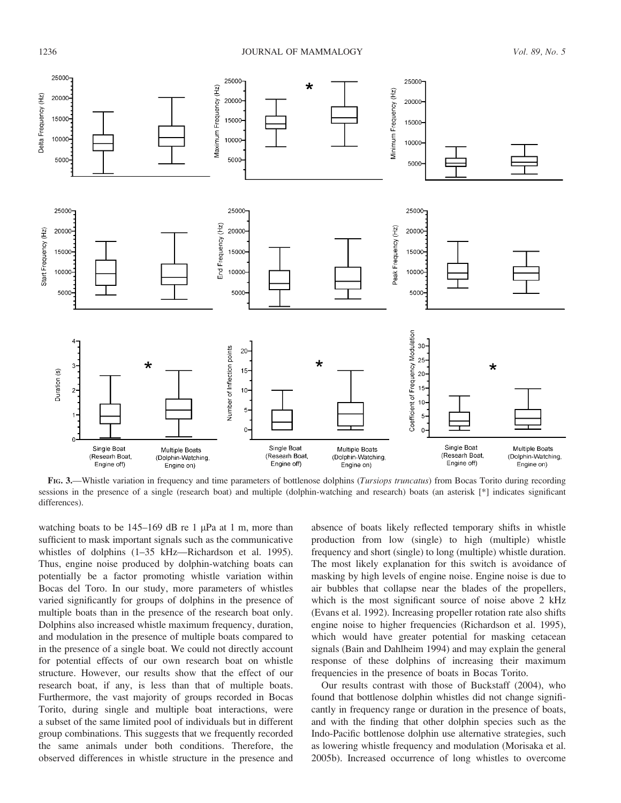



FIG. 3.—Whistle variation in frequency and time parameters of bottlenose dolphins (Tursiops truncatus) from Bocas Torito during recording sessions in the presence of a single (research boat) and multiple (dolphin-watching and research) boats (an asterisk [\*] indicates significant differences).

watching boats to be  $145-169$  dB re 1  $\mu$ Pa at 1 m, more than sufficient to mask important signals such as the communicative whistles of dolphins (1–35 kHz—Richardson et al. 1995). Thus, engine noise produced by dolphin-watching boats can potentially be a factor promoting whistle variation within Bocas del Toro. In our study, more parameters of whistles varied significantly for groups of dolphins in the presence of multiple boats than in the presence of the research boat only. Dolphins also increased whistle maximum frequency, duration, and modulation in the presence of multiple boats compared to in the presence of a single boat. We could not directly account for potential effects of our own research boat on whistle structure. However, our results show that the effect of our research boat, if any, is less than that of multiple boats. Furthermore, the vast majority of groups recorded in Bocas Torito, during single and multiple boat interactions, were a subset of the same limited pool of individuals but in different group combinations. This suggests that we frequently recorded the same animals under both conditions. Therefore, the observed differences in whistle structure in the presence and absence of boats likely reflected temporary shifts in whistle production from low (single) to high (multiple) whistle frequency and short (single) to long (multiple) whistle duration. The most likely explanation for this switch is avoidance of masking by high levels of engine noise. Engine noise is due to air bubbles that collapse near the blades of the propellers, which is the most significant source of noise above 2 kHz (Evans et al. 1992). Increasing propeller rotation rate also shifts engine noise to higher frequencies (Richardson et al. 1995), which would have greater potential for masking cetacean signals (Bain and Dahlheim 1994) and may explain the general response of these dolphins of increasing their maximum frequencies in the presence of boats in Bocas Torito.

Our results contrast with those of Buckstaff (2004), who found that bottlenose dolphin whistles did not change significantly in frequency range or duration in the presence of boats, and with the finding that other dolphin species such as the Indo-Pacific bottlenose dolphin use alternative strategies, such as lowering whistle frequency and modulation (Morisaka et al. 2005b). Increased occurrence of long whistles to overcome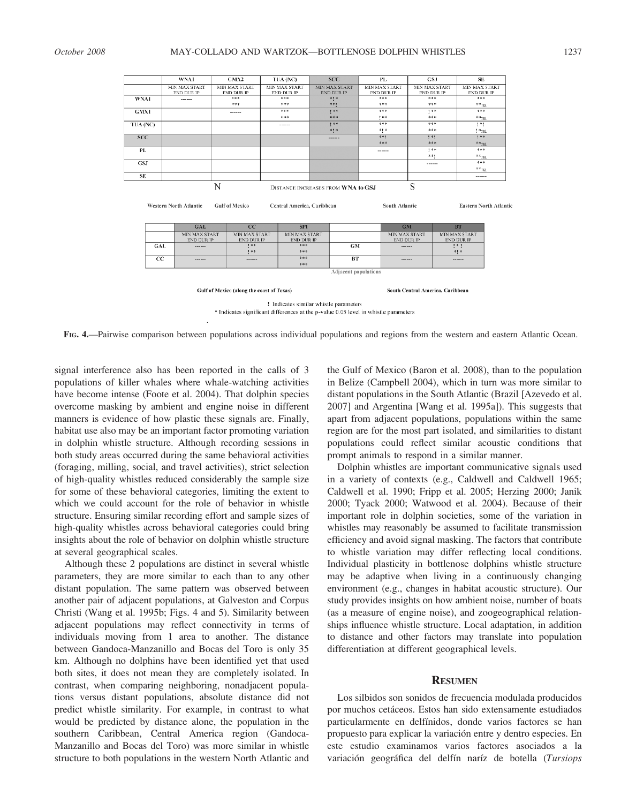

<sup>!</sup> Indicates similar whistle parameters

\* Indicates significant differences at the p-value 0.05 level in whistle parameters

FIG. 4.—Pairwise comparison between populations across individual populations and regions from the western and eastern Atlantic Ocean.

signal interference also has been reported in the calls of 3 populations of killer whales where whale-watching activities have become intense (Foote et al. 2004). That dolphin species overcome masking by ambient and engine noise in different manners is evidence of how plastic these signals are. Finally, habitat use also may be an important factor promoting variation in dolphin whistle structure. Although recording sessions in both study areas occurred during the same behavioral activities (foraging, milling, social, and travel activities), strict selection of high-quality whistles reduced considerably the sample size for some of these behavioral categories, limiting the extent to which we could account for the role of behavior in whistle structure. Ensuring similar recording effort and sample sizes of high-quality whistles across behavioral categories could bring insights about the role of behavior on dolphin whistle structure at several geographical scales.

Although these 2 populations are distinct in several whistle parameters, they are more similar to each than to any other distant population. The same pattern was observed between another pair of adjacent populations, at Galveston and Corpus Christi (Wang et al. 1995b; Figs. 4 and 5). Similarity between adjacent populations may reflect connectivity in terms of individuals moving from 1 area to another. The distance between Gandoca-Manzanillo and Bocas del Toro is only 35 km. Although no dolphins have been identified yet that used both sites, it does not mean they are completely isolated. In contrast, when comparing neighboring, nonadjacent populations versus distant populations, absolute distance did not predict whistle similarity. For example, in contrast to what would be predicted by distance alone, the population in the southern Caribbean, Central America region (Gandoca-Manzanillo and Bocas del Toro) was more similar in whistle structure to both populations in the western North Atlantic and

the Gulf of Mexico (Baron et al. 2008), than to the population in Belize (Campbell 2004), which in turn was more similar to distant populations in the South Atlantic (Brazil [Azevedo et al. 2007] and Argentina [Wang et al. 1995a]). This suggests that apart from adjacent populations, populations within the same region are for the most part isolated, and similarities to distant populations could reflect similar acoustic conditions that prompt animals to respond in a similar manner.

Dolphin whistles are important communicative signals used in a variety of contexts (e.g., Caldwell and Caldwell 1965; Caldwell et al. 1990; Fripp et al. 2005; Herzing 2000; Janik 2000; Tyack 2000; Watwood et al. 2004). Because of their important role in dolphin societies, some of the variation in whistles may reasonably be assumed to facilitate transmission efficiency and avoid signal masking. The factors that contribute to whistle variation may differ reflecting local conditions. Individual plasticity in bottlenose dolphins whistle structure may be adaptive when living in a continuously changing environment (e.g., changes in habitat acoustic structure). Our study provides insights on how ambient noise, number of boats (as a measure of engine noise), and zoogeographical relationships influence whistle structure. Local adaptation, in addition to distance and other factors may translate into population differentiation at different geographical levels.

#### **RESUMEN**

Los silbidos son sonidos de frecuencia modulada producidos por muchos cetáceos. Estos han sido extensamente estudiados particularmente en delfínidos, donde varios factores se han propuesto para explicar la variación entre y dentro especies. En este estudio examinamos varios factores asociados a la variación geográfica del delfín naríz de botella (Tursiops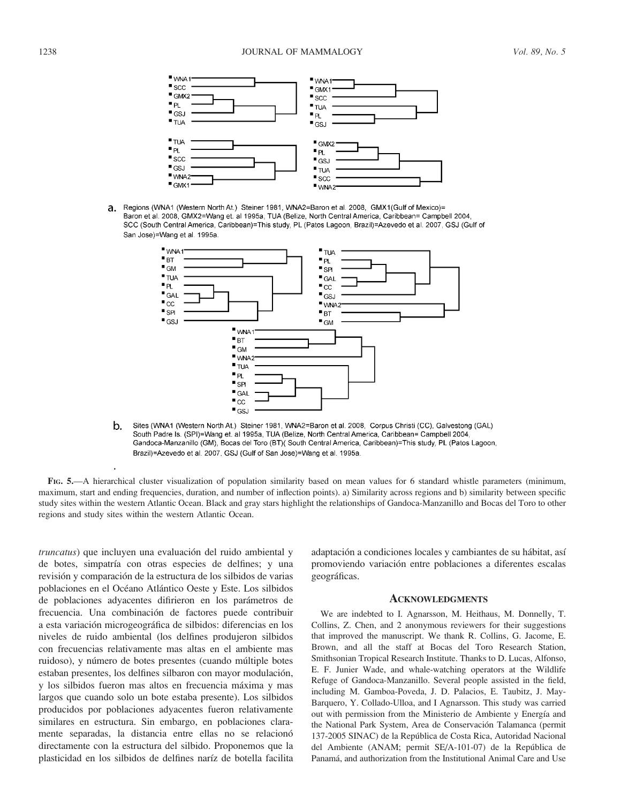

a. Regions (WNA1 (Western North At.) Steiner 1981, WNA2=Baron et al. 2008, GMX1(Gulf of Mexico)= Baron et al. 2008, GMX2=Wang et. al 1995a, TUA (Belize, North Central America, Caribbean= Campbell 2004, SCC (South Central America, Caribbean)=This study, PL (Patos Lagoon, Brazil)=Azevedo et al. 2007, GSJ (Gulf of San Jose)=Wang et al. 1995a.



b. Sites (WNA1 (Western North At.) Steiner 1981, WNA2=Baron et al. 2008, Corpus Christi (CC), Galvestong (GAL) South Padre Is. (SPI)=Wang et. al 1995a, TUA (Belize, North Central America, Caribbean= Campbell 2004, Gandoca-Manzanillo (GM), Bocas del Toro (BT)(South Central America, Caribbean)=This study, PL (Patos Lagoon, Brazil)=Azevedo et al. 2007, GSJ (Gulf of San Jose)=Wang et al. 1995a

FIG. 5.—A hierarchical cluster visualization of population similarity based on mean values for 6 standard whistle parameters (minimum, maximum, start and ending frequencies, duration, and number of inflection points). a) Similarity across regions and b) similarity between specific study sites within the western Atlantic Ocean. Black and gray stars highlight the relationships of Gandoca-Manzanillo and Bocas del Toro to other regions and study sites within the western Atlantic Ocean.

truncatus) que incluyen una evaluación del ruido ambiental y de botes, simpatría con otras especies de delfines; y una revisión y comparación de la estructura de los silbidos de varias poblaciones en el Océano Atlántico Oeste y Este. Los silbidos de poblaciones adyacentes difirieron en los parámetros de frecuencia. Una combinación de factores puede contribuir a esta variación microgeográfica de silbidos: diferencias en los niveles de ruido ambiental (los delfines produjeron silbidos con frecuencias relativamente mas altas en el ambiente mas ruidoso), y número de botes presentes (cuando múltiple botes estaban presentes, los delfines silbaron con mayor modulación, y los silbidos fueron mas altos en frecuencia máxima y mas largos que cuando solo un bote estaba presente). Los silbidos producidos por poblaciones adyacentes fueron relativamente similares en estructura. Sin embargo, en poblaciones claramente separadas, la distancia entre ellas no se relacionó directamente con la estructura del silbido. Proponemos que la plasticidad en los silbidos de delfines narı´z de botella facilita adaptación a condiciones locales y cambiantes de su hábitat, así promoviendo variación entre poblaciones a diferentes escalas geográficas.

#### ACKNOWLEDGMENTS

We are indebted to I. Agnarsson, M. Heithaus, M. Donnelly, T. Collins, Z. Chen, and 2 anonymous reviewers for their suggestions that improved the manuscript. We thank R. Collins, G. Jacome, E. Brown, and all the staff at Bocas del Toro Research Station, Smithsonian Tropical Research Institute. Thanks to D. Lucas, Alfonso, E. F. Junier Wade, and whale-watching operators at the Wildlife Refuge of Gandoca-Manzanillo. Several people assisted in the field, including M. Gamboa-Poveda, J. D. Palacios, E. Taubitz, J. May-Barquero, Y. Collado-Ulloa, and I Agnarsson. This study was carried out with permission from the Ministerio de Ambiente y Energía and the National Park System, Area de Conservación Talamanca (permit 137-2005 SINAC) de la Repu´blica de Costa Rica, Autoridad Nacional del Ambiente (ANAM; permit SE/A-101-07) de la República de Panamá, and authorization from the Institutional Animal Care and Use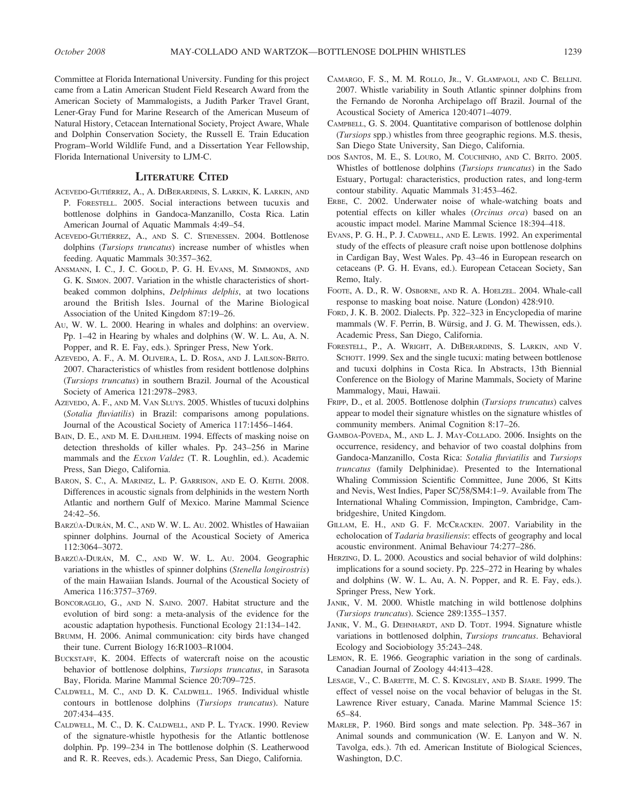Committee at Florida International University. Funding for this project came from a Latin American Student Field Research Award from the American Society of Mammalogists, a Judith Parker Travel Grant, Lener-Gray Fund for Marine Research of the American Museum of Natural History, Cetacean International Society, Project Aware, Whale and Dolphin Conservation Society, the Russell E. Train Education Program–World Wildlife Fund, and a Dissertation Year Fellowship, Florida International University to LJM-C.

### LITERATURE CITED

- ACEVEDO-GUTIÉRREZ, A., A. DIBERARDINIS, S. LARKIN, K. LARKIN, AND P. FORESTELL. 2005. Social interactions between tucuxis and bottlenose dolphins in Gandoca-Manzanillo, Costa Rica. Latin American Journal of Aquatic Mammals 4:49–54.
- ACEVEDO-GUTIÉRREZ, A., AND S. C. STIENESSEN. 2004. Bottlenose dolphins (Tursiops truncatus) increase number of whistles when feeding. Aquatic Mammals 30:357–362.
- ANSMANN, I. C., J. C. GOOLD, P. G. H. EVANS, M. SIMMONDS, AND G. K. SIMON. 2007. Variation in the whistle characteristics of shortbeaked common dolphins, Delphinus delphis, at two locations around the British Isles. Journal of the Marine Biological Association of the United Kingdom 87:19–26.
- AU, W. W. L. 2000. Hearing in whales and dolphins: an overview. Pp. 1–42 in Hearing by whales and dolphins (W. W. L. Au, A. N. Popper, and R. E. Fay, eds.). Springer Press, New York.
- AZEVEDO, A. F., A. M. OLIVEIRA, L. D. ROSA, AND J. LAILSON-BRITO. 2007. Characteristics of whistles from resident bottlenose dolphins (Tursiops truncatus) in southern Brazil. Journal of the Acoustical Society of America 121:2978–2983.
- AZEVEDO, A. F., AND M. VAN SLUYS. 2005. Whistles of tucuxi dolphins (Sotalia fluviatilis) in Brazil: comparisons among populations. Journal of the Acoustical Society of America 117:1456–1464.
- BAIN, D. E., AND M. E. DAHLHEIM. 1994. Effects of masking noise on detection thresholds of killer whales. Pp. 243–256 in Marine mammals and the Exxon Valdez (T. R. Loughlin, ed.). Academic Press, San Diego, California.
- BARON, S. C., A. MARINEZ, L. P. GARRISON, AND E. O. KEITH. 2008. Differences in acoustic signals from delphinids in the western North Atlantic and northern Gulf of Mexico. Marine Mammal Science 24:42–56.
- BARZÚA-DURÁN, M. C., AND W. W. L. AU. 2002. Whistles of Hawaiian spinner dolphins. Journal of the Acoustical Society of America 112:3064–3072.
- BARZÚA-DURÁN, M. C., AND W. W. L. AU. 2004. Geographic variations in the whistles of spinner dolphins (Stenella longirostris) of the main Hawaiian Islands. Journal of the Acoustical Society of America 116:3757–3769.
- BONCORAGLIO, G., AND N. SAINO. 2007. Habitat structure and the evolution of bird song: a meta-analysis of the evidence for the acoustic adaptation hypothesis. Functional Ecology 21:134–142.
- BRUMM, H. 2006. Animal communication: city birds have changed their tune. Current Biology 16:R1003–R1004.
- BUCKSTAFF, K. 2004. Effects of watercraft noise on the acoustic behavior of bottlenose dolphins, Tursiops truncatus, in Sarasota Bay, Florida. Marine Mammal Science 20:709–725.
- CALDWELL, M. C., AND D. K. CALDWELL. 1965. Individual whistle contours in bottlenose dolphins (Tursiops truncatus). Nature 207:434–435.
- CALDWELL, M. C., D. K. CALDWELL, AND P. L. TYACK. 1990. Review of the signature-whistle hypothesis for the Atlantic bottlenose dolphin. Pp. 199–234 in The bottlenose dolphin (S. Leatherwood and R. R. Reeves, eds.). Academic Press, San Diego, California.
- CAMARGO, F. S., M. M. ROLLO, JR., V. GLAMPAOLI, AND C. BELLINI. 2007. Whistle variability in South Atlantic spinner dolphins from the Fernando de Noronha Archipelago off Brazil. Journal of the Acoustical Society of America 120:4071–4079.
- CAMPBELL, G. S. 2004. Quantitative comparison of bottlenose dolphin (Tursiops spp.) whistles from three geographic regions. M.S. thesis, San Diego State University, San Diego, California.
- DOS SANTOS, M. E., S. LOURO, M. COUCHINHO, AND C. BRITO. 2005. Whistles of bottlenose dolphins (Tursiops truncatus) in the Sado Estuary, Portugal: characteristics, production rates, and long-term contour stability. Aquatic Mammals 31:453–462.
- ERBE, C. 2002. Underwater noise of whale-watching boats and potential effects on killer whales (Orcinus orca) based on an acoustic impact model. Marine Mammal Science 18:394–418.
- EVANS, P. G. H., P. J. CADWELL, AND E. LEWIS. 1992. An experimental study of the effects of pleasure craft noise upon bottlenose dolphins in Cardigan Bay, West Wales. Pp. 43–46 in European research on cetaceans (P. G. H. Evans, ed.). European Cetacean Society, San Remo, Italy.
- FOOTE, A. D., R. W. OSBORNE, AND R. A. HOELZEL. 2004. Whale-call response to masking boat noise. Nature (London) 428:910.
- FORD, J. K. B. 2002. Dialects. Pp. 322–323 in Encyclopedia of marine mammals (W. F. Perrin, B. Würsig, and J. G. M. Thewissen, eds.). Academic Press, San Diego, California.
- FORESTELL, P., A. WRIGHT, A. DIBERARDINIS, S. LARKIN, AND V. SCHOTT. 1999. Sex and the single tucuxi: mating between bottlenose and tucuxi dolphins in Costa Rica. In Abstracts, 13th Biennial Conference on the Biology of Marine Mammals, Society of Marine Mammalogy, Maui, Hawaii.
- FRIPP, D., et al. 2005. Bottlenose dolphin (Tursiops truncatus) calves appear to model their signature whistles on the signature whistles of community members. Animal Cognition 8:17–26.
- GAMBOA-POVEDA, M., AND L. J. MAY-COLLADO. 2006. Insights on the occurrence, residency, and behavior of two coastal dolphins from Gandoca-Manzanillo, Costa Rica: Sotalia fluviatilis and Tursiops truncatus (family Delphinidae). Presented to the International Whaling Commission Scientific Committee, June 2006, St Kitts and Nevis, West Indies, Paper SC/58/SM4:1–9. Available from The International Whaling Commission, Impington, Cambridge, Cambridgeshire, United Kingdom.
- GILLAM, E. H., AND G. F. MCCRACKEN. 2007. Variability in the echolocation of Tadaria brasiliensis: effects of geography and local acoustic environment. Animal Behaviour 74:277–286.
- HERZING, D. L. 2000. Acoustics and social behavior of wild dolphins: implications for a sound society. Pp. 225–272 in Hearing by whales and dolphins (W. W. L. Au, A. N. Popper, and R. E. Fay, eds.). Springer Press, New York.
- JANIK, V. M. 2000. Whistle matching in wild bottlenose dolphins (Tursiops truncatus). Science 289:1355–1357.
- JANIK, V. M., G. DEHNHARDT, AND D. TODT. 1994. Signature whistle variations in bottlenosed dolphin, Tursiops truncatus. Behavioral Ecology and Sociobiology 35:243–248.
- LEMON, R. E. 1966. Geographic variation in the song of cardinals. Canadian Journal of Zoology 44:413–428.
- LESAGE, V., C. BARETTE, M. C. S. KINGSLEY, AND B. SJARE. 1999. The effect of vessel noise on the vocal behavior of belugas in the St. Lawrence River estuary, Canada. Marine Mammal Science 15: 65–84.
- MARLER, P. 1960. Bird songs and mate selection. Pp. 348–367 in Animal sounds and communication (W. E. Lanyon and W. N. Tavolga, eds.). 7th ed. American Institute of Biological Sciences, Washington, D.C.